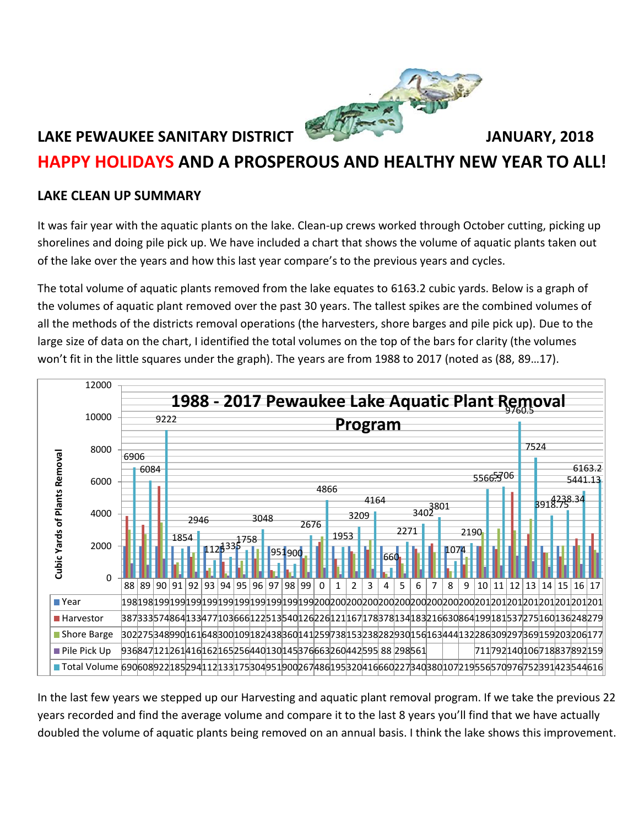

# **HAPPY HOLIDAYS AND A PROSPEROUS AND HEALTHY NEW YEAR TO ALL!**

### **LAKE CLEAN UP SUMMARY**

It was fair year with the aquatic plants on the lake. Clean-up crews worked through October cutting, picking up shorelines and doing pile pick up. We have included a chart that shows the volume of aquatic plants taken out of the lake over the years and how this last year compare's to the previous years and cycles.

The total volume of aquatic plants removed from the lake equates to 6163.2 cubic yards. Below is a graph of the volumes of aquatic plant removed over the past 30 years. The tallest spikes are the combined volumes of all the methods of the districts removal operations (the harvesters, shore barges and pile pick up). Due to the large size of data on the chart, I identified the total volumes on the top of the bars for clarity (the volumes won't fit in the little squares under the graph). The years are from 1988 to 2017 (noted as (88, 89…17).



In the last few years we stepped up our Harvesting and aquatic plant removal program. If we take the previous 22 years recorded and find the average volume and compare it to the last 8 years you'll find that we have actually doubled the volume of aquatic plants being removed on an annual basis. I think the lake shows this improvement.